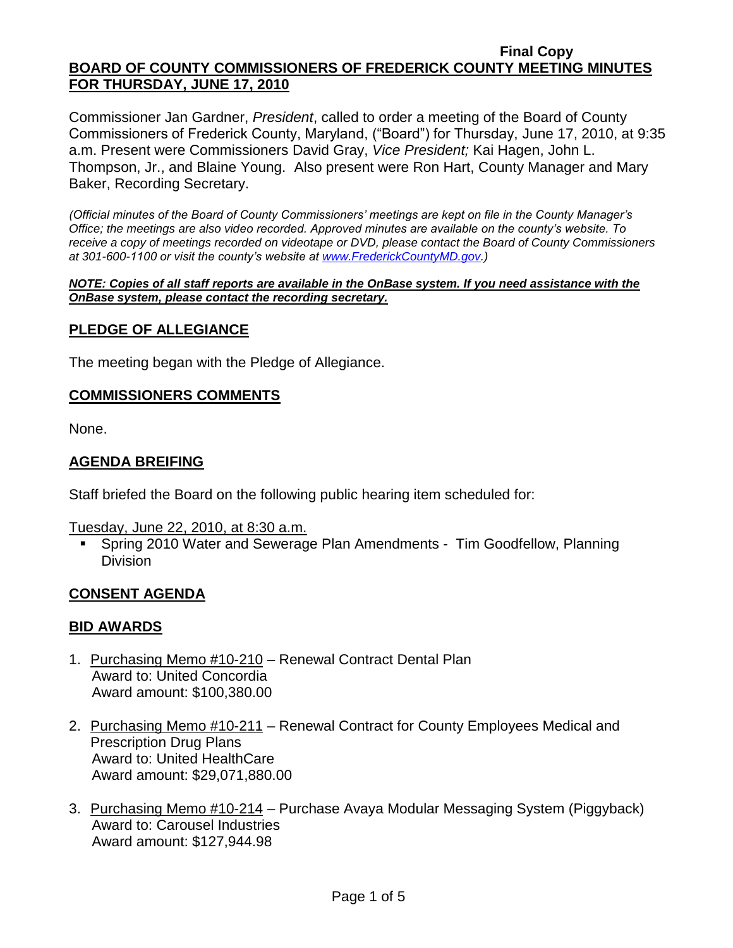Commissioner Jan Gardner, *President*, called to order a meeting of the Board of County Commissioners of Frederick County, Maryland, ("Board") for Thursday, June 17, 2010, at 9:35 a.m. Present were Commissioners David Gray, *Vice President;* Kai Hagen, John L. Thompson, Jr., and Blaine Young. Also present were Ron Hart, County Manager and Mary Baker, Recording Secretary.

*(Official minutes of the Board of County Commissioners' meetings are kept on file in the County Manager's Office; the meetings are also video recorded. Approved minutes are available on the county's website. To receive a copy of meetings recorded on videotape or DVD, please contact the Board of County Commissioners at 301-600-1100 or visit the county's website at [www.FrederickCountyMD.gov.](http://www.frederickcountymd.gov/))*

*NOTE: Copies of all staff reports are available in the OnBase system. If you need assistance with the OnBase system, please contact the recording secretary.*

### **PLEDGE OF ALLEGIANCE**

The meeting began with the Pledge of Allegiance.

### **COMMISSIONERS COMMENTS**

None.

### **AGENDA BREIFING**

Staff briefed the Board on the following public hearing item scheduled for:

Tuesday, June 22, 2010, at 8:30 a.m.

 Spring 2010 Water and Sewerage Plan Amendments - Tim Goodfellow, Planning Division

### **CONSENT AGENDA**

### **BID AWARDS**

- 1. Purchasing Memo #10-210 Renewal Contract Dental Plan Award to: United Concordia Award amount: \$100,380.00
- 2. Purchasing Memo #10-211 Renewal Contract for County Employees Medical and Prescription Drug Plans Award to: United HealthCare Award amount: \$29,071,880.00
- 3. Purchasing Memo #10-214 Purchase Avaya Modular Messaging System (Piggyback) Award to: Carousel Industries Award amount: \$127,944.98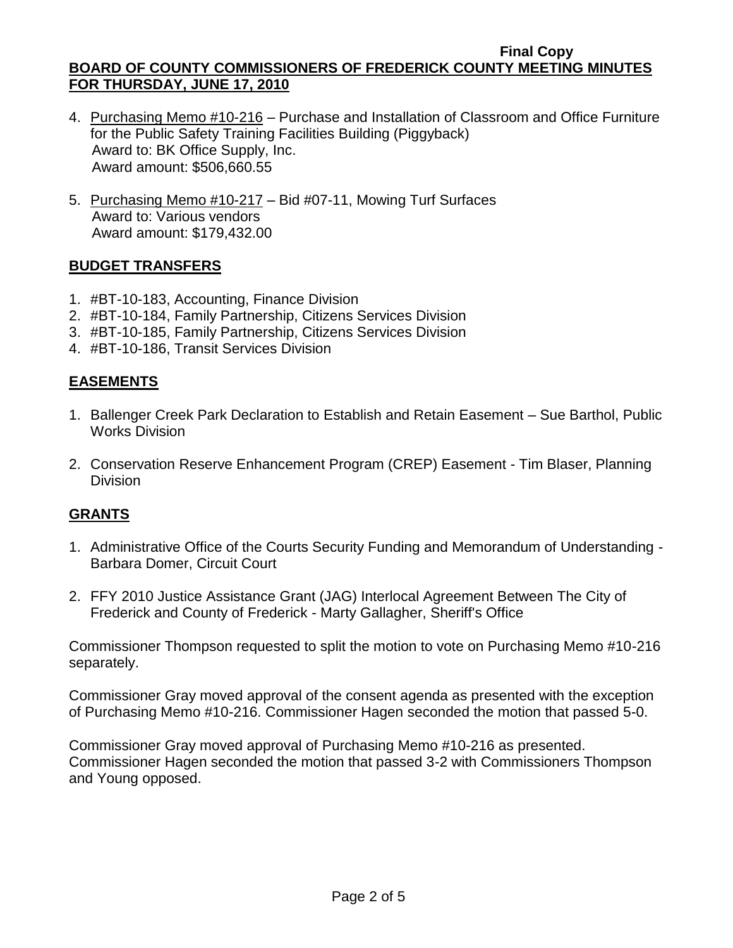- 4. Purchasing Memo #10-216 Purchase and Installation of Classroom and Office Furniture for the Public Safety Training Facilities Building (Piggyback) Award to: BK Office Supply, Inc. Award amount: \$506,660.55
- 5. Purchasing Memo #10-217 Bid #07-11, Mowing Turf Surfaces Award to: Various vendors Award amount: \$179,432.00

## **BUDGET TRANSFERS**

- 1. #BT-10-183, Accounting, Finance Division
- 2. #BT-10-184, Family Partnership, Citizens Services Division
- 3. #BT-10-185, Family Partnership, Citizens Services Division
- 4. #BT-10-186, Transit Services Division

# **EASEMENTS**

- 1. Ballenger Creek Park Declaration to Establish and Retain Easement Sue Barthol, Public Works Division
- 2. Conservation Reserve Enhancement Program (CREP) Easement Tim Blaser, Planning Division

# **GRANTS**

- 1. Administrative Office of the Courts Security Funding and Memorandum of Understanding Barbara Domer, Circuit Court
- 2. FFY 2010 Justice Assistance Grant (JAG) Interlocal Agreement Between The City of Frederick and County of Frederick - Marty Gallagher, Sheriff's Office

Commissioner Thompson requested to split the motion to vote on Purchasing Memo #10-216 separately.

Commissioner Gray moved approval of the consent agenda as presented with the exception of Purchasing Memo #10-216. Commissioner Hagen seconded the motion that passed 5-0.

Commissioner Gray moved approval of Purchasing Memo #10-216 as presented. Commissioner Hagen seconded the motion that passed 3-2 with Commissioners Thompson and Young opposed.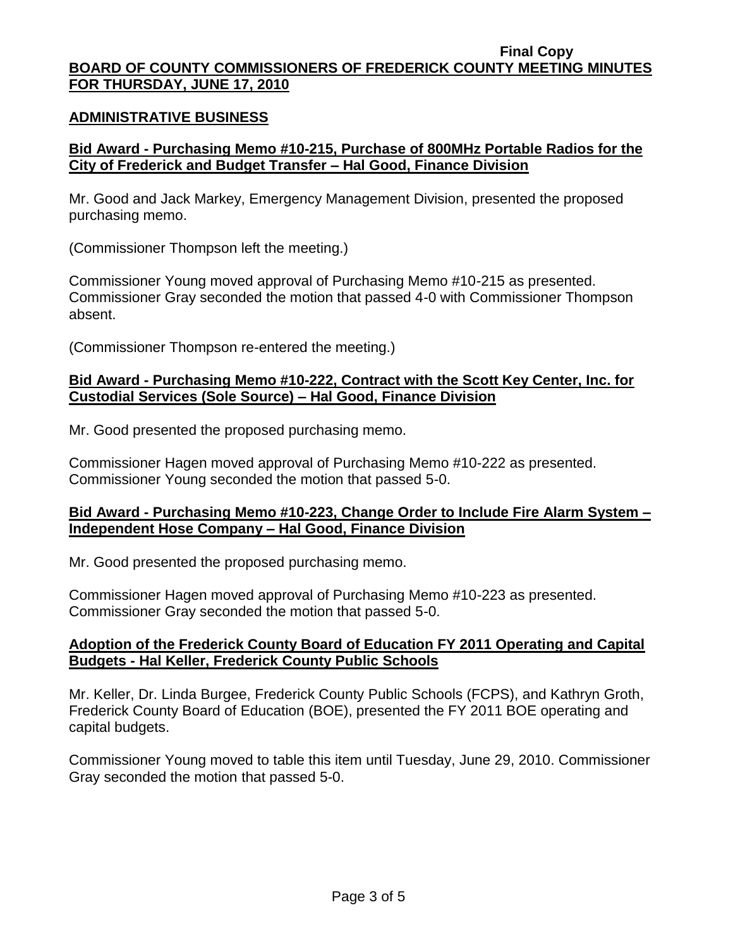### **ADMINISTRATIVE BUSINESS**

## **Bid Award - Purchasing Memo #10-215, Purchase of 800MHz Portable Radios for the City of Frederick and Budget Transfer – Hal Good, Finance Division**

Mr. Good and Jack Markey, Emergency Management Division, presented the proposed purchasing memo.

(Commissioner Thompson left the meeting.)

Commissioner Young moved approval of Purchasing Memo #10-215 as presented. Commissioner Gray seconded the motion that passed 4-0 with Commissioner Thompson absent.

(Commissioner Thompson re-entered the meeting.)

## **Bid Award - Purchasing Memo #10-222, Contract with the Scott Key Center, Inc. for Custodial Services (Sole Source) – Hal Good, Finance Division**

Mr. Good presented the proposed purchasing memo.

Commissioner Hagen moved approval of Purchasing Memo #10-222 as presented. Commissioner Young seconded the motion that passed 5-0.

## **Bid Award - Purchasing Memo #10-223, Change Order to Include Fire Alarm System – Independent Hose Company – Hal Good, Finance Division**

Mr. Good presented the proposed purchasing memo.

Commissioner Hagen moved approval of Purchasing Memo #10-223 as presented. Commissioner Gray seconded the motion that passed 5-0.

## **Adoption of the Frederick County Board of Education FY 2011 Operating and Capital Budgets - Hal Keller, Frederick County Public Schools**

Mr. Keller, Dr. Linda Burgee, Frederick County Public Schools (FCPS), and Kathryn Groth, Frederick County Board of Education (BOE), presented the FY 2011 BOE operating and capital budgets.

Commissioner Young moved to table this item until Tuesday, June 29, 2010. Commissioner Gray seconded the motion that passed 5-0.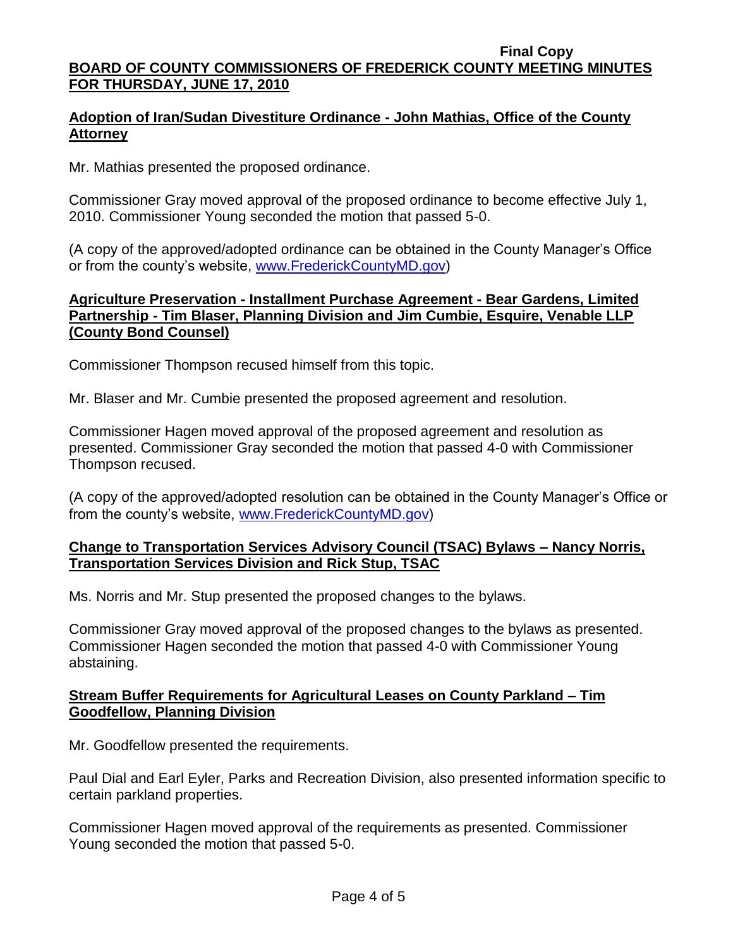**Final Copy BOARD OF COUNTY COMMISSIONERS OF FREDERICK COUNTY MEETING MINUTES** 

# **FOR THURSDAY, JUNE 17, 2010**

## **Adoption of Iran/Sudan Divestiture Ordinance - John Mathias, Office of the County Attorney**

Mr. Mathias presented the proposed ordinance.

Commissioner Gray moved approval of the proposed ordinance to become effective July 1, 2010. Commissioner Young seconded the motion that passed 5-0.

(A copy of the approved/adopted ordinance can be obtained in the County Manager's Office or from the county's website, [www.FrederickCountyMD.gov\)](file://NT1S5/BOCC/BOCC/BOCC%20Minutes/Mary)

### **Agriculture Preservation - Installment Purchase Agreement - Bear Gardens, Limited Partnership - Tim Blaser, Planning Division and Jim Cumbie, Esquire, Venable LLP (County Bond Counsel)**

Commissioner Thompson recused himself from this topic.

Mr. Blaser and Mr. Cumbie presented the proposed agreement and resolution.

Commissioner Hagen moved approval of the proposed agreement and resolution as presented. Commissioner Gray seconded the motion that passed 4-0 with Commissioner Thompson recused.

(A copy of the approved/adopted resolution can be obtained in the County Manager's Office or from the county's website, [www.FrederickCountyMD.gov\)](file://NT1S5/BOCC/BOCC/BOCC%20Minutes/Mary)

## **Change to Transportation Services Advisory Council (TSAC) Bylaws – Nancy Norris, Transportation Services Division and Rick Stup, TSAC**

Ms. Norris and Mr. Stup presented the proposed changes to the bylaws.

Commissioner Gray moved approval of the proposed changes to the bylaws as presented. Commissioner Hagen seconded the motion that passed 4-0 with Commissioner Young abstaining.

### **Stream Buffer Requirements for Agricultural Leases on County Parkland – Tim Goodfellow, Planning Division**

Mr. Goodfellow presented the requirements.

Paul Dial and Earl Eyler, Parks and Recreation Division, also presented information specific to certain parkland properties.

Commissioner Hagen moved approval of the requirements as presented. Commissioner Young seconded the motion that passed 5-0.